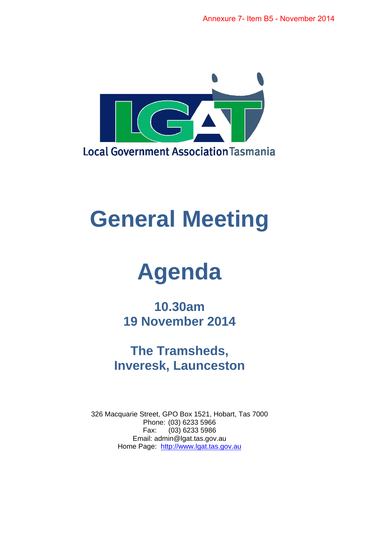

# **General Meeting**

# **Agenda**

**10.30am 19 November 2014** 

**The Tramsheds, Inveresk, Launceston** 

326 Macquarie Street, GPO Box 1521, Hobart, Tas 7000 Phone: (03) 6233 5966 Fax: (03) 6233 5986 Email: admin@lgat.tas.gov.au Home Page: http://www.lgat.tas.gov.au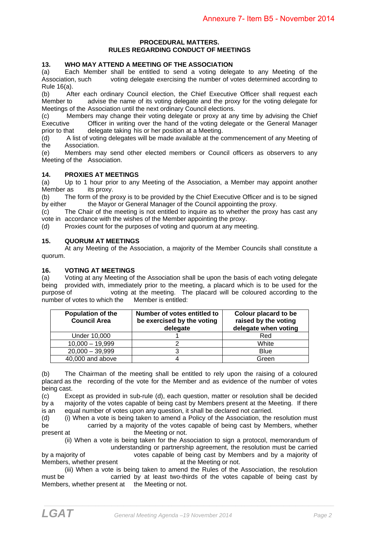#### **PROCEDURAL MATTERS. RULES REGARDING CONDUCT OF MEETINGS**

#### **13. WHO MAY ATTEND A MEETING OF THE ASSOCIATION**

(a) Each Member shall be entitled to send a voting delegate to any Meeting of the Association, such voting delegate exercising the number of votes determined according to Rule 16(a).

(b) After each ordinary Council election, the Chief Executive Officer shall request each Member to advise the name of its voting delegate and the proxy for the voting delegate for Meetings of the Association until the next ordinary Council elections.

(c) Members may change their voting delegate or proxy at any time by advising the Chief Executive Officer in writing over the hand of the voting delegate or the General Manager prior to that delegate taking his or her position at a Meeting.

(d) A list of voting delegates will be made available at the commencement of any Meeting of the Association.

(e) Members may send other elected members or Council officers as observers to any Meeting of the Association.

#### **14. PROXIES AT MEETINGS**

(a) Up to 1 hour prior to any Meeting of the Association, a Member may appoint another Member as its proxy.

(b) The form of the proxy is to be provided by the Chief Executive Officer and is to be signed by either the Mayor or General Manager of the Council appointing the proxy.

(c) The Chair of the meeting is not entitled to inquire as to whether the proxy has cast any vote in accordance with the wishes of the Member appointing the proxy.

(d) Proxies count for the purposes of voting and quorum at any meeting.

#### **15. QUORUM AT MEETINGS**

 At any Meeting of the Association, a majority of the Member Councils shall constitute a quorum.

#### **16. VOTING AT MEETINGS**

(a) Voting at any Meeting of the Association shall be upon the basis of each voting delegate being provided with, immediately prior to the meeting, a placard which is to be used for the purpose of voting at the meeting. The placard will be coloured according to the number of votes to which the Member is entitled:

| <b>Population of the</b><br><b>Council Area</b> | Number of votes entitled to<br>be exercised by the voting<br>delegate | Colour placard to be<br>raised by the voting<br>delegate when voting |
|-------------------------------------------------|-----------------------------------------------------------------------|----------------------------------------------------------------------|
| Under 10,000                                    |                                                                       | Red                                                                  |
| $10,000 - 19,999$                               |                                                                       | White                                                                |
| $20,000 - 39,999$                               |                                                                       | <b>Blue</b>                                                          |
| 40,000 and above                                |                                                                       | Green                                                                |

(b) The Chairman of the meeting shall be entitled to rely upon the raising of a coloured placard as the recording of the vote for the Member and as evidence of the number of votes being cast.

(c) Except as provided in sub-rule (d), each question, matter or resolution shall be decided by a majority of the votes capable of being cast by Members present at the Meeting. If there is an equal number of votes upon any question, it shall be declared not carried.

(d) (i) When a vote is being taken to amend a Policy of the Association, the resolution must be carried by a majority of the votes capable of being cast by Members, whether present at the Meeting or not.

 (ii) When a vote is being taken for the Association to sign a protocol, memorandum of understanding or partnership agreement, the resolution must be carried by a majority of votes capable of being cast by Members and by a majority of

Members, whether present at the Meeting or not. (iii) When a vote is being taken to amend the Rules of the Association, the resolution must be carried by at least two-thirds of the votes capable of being cast by Members, whether present at the Meeting or not.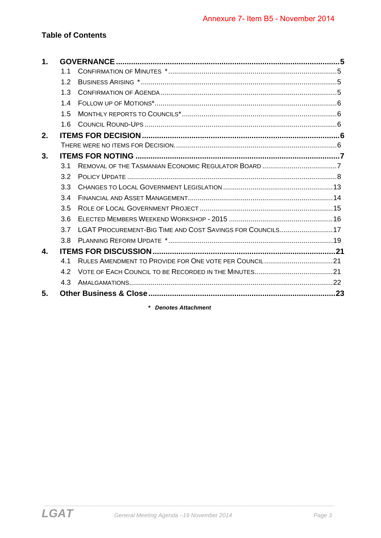# **Table of Contents**

| $\mathbf 1$ . |     |                                                           |  |
|---------------|-----|-----------------------------------------------------------|--|
|               | 1.1 |                                                           |  |
|               | 1.2 |                                                           |  |
|               | 1.3 |                                                           |  |
|               | 1.4 |                                                           |  |
|               | 1.5 |                                                           |  |
|               | 1.6 |                                                           |  |
| 2.            |     |                                                           |  |
|               |     |                                                           |  |
| 3.            |     |                                                           |  |
|               | 3.1 |                                                           |  |
|               | 3.2 |                                                           |  |
|               | 3.3 |                                                           |  |
|               | 3.4 |                                                           |  |
|               | 3.5 |                                                           |  |
|               | 3.6 |                                                           |  |
|               | 3.7 | LGAT PROCUREMENT-BIG TIME AND COST SAVINGS FOR COUNCILS17 |  |
|               | 3.8 |                                                           |  |
| $\mathbf{A}$  |     |                                                           |  |
|               | 4.1 | RULES AMENDMENT TO PROVIDE FOR ONE VOTE PER COUNCIL 21    |  |
|               | 4.2 |                                                           |  |
|               | 4.3 |                                                           |  |
| 5.            |     |                                                           |  |
|               |     |                                                           |  |

\* Denotes Attachment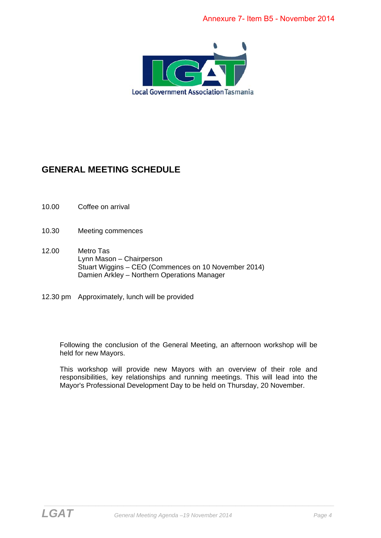

# **GENERAL MEETING SCHEDULE**

- 10.00 Coffee on arrival
- 10.30 Meeting commences
- 12.00 Metro Tas Lynn Mason – Chairperson Stuart Wiggins – CEO (Commences on 10 November 2014) Damien Arkley – Northern Operations Manager
- 12.30 pm Approximately, lunch will be provided

Following the conclusion of the General Meeting, an afternoon workshop will be held for new Mayors.

This workshop will provide new Mayors with an overview of their role and responsibilities, key relationships and running meetings. This will lead into the Mayor's Professional Development Day to be held on Thursday, 20 November.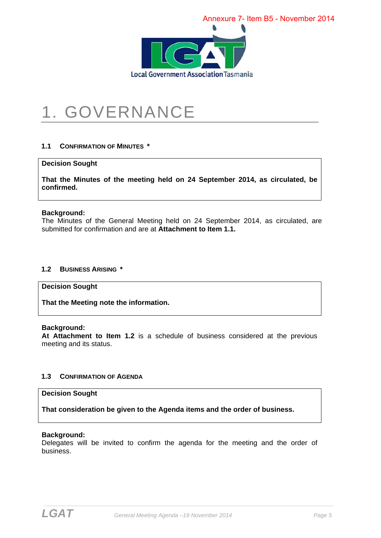

# 1. GOVERNANCE

#### **1.1 CONFIRMATION OF MINUTES \***

#### **Decision Sought**

**That the Minutes of the meeting held on 24 September 2014, as circulated, be confirmed.** 

#### **Background:**

The Minutes of the General Meeting held on 24 September 2014, as circulated, are submitted for confirmation and are at **Attachment to Item 1.1.** 

#### **1.2 BUSINESS ARISING \***

#### **Decision Sought**

**That the Meeting note the information.** 

#### **Background:**

**At Attachment to Item 1.2** is a schedule of business considered at the previous meeting and its status.

#### **1.3 CONFIRMATION OF AGENDA**

#### **Decision Sought**

**That consideration be given to the Agenda items and the order of business.** 

#### **Background:**

Delegates will be invited to confirm the agenda for the meeting and the order of business.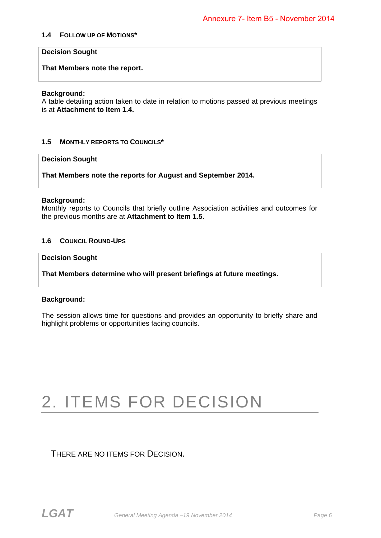#### **1.4 FOLLOW UP OF MOTIONS\***

#### **Decision Sought**

**That Members note the report.** 

#### **Background:**

A table detailing action taken to date in relation to motions passed at previous meetings is at **Attachment to Item 1.4.** 

#### **1.5 MONTHLY REPORTS TO COUNCILS\***

#### **Decision Sought**

**That Members note the reports for August and September 2014.** 

#### **Background:**

Monthly reports to Councils that briefly outline Association activities and outcomes for the previous months are at **Attachment to Item 1.5.**

#### **1.6 COUNCIL ROUND-UPS**

#### **Decision Sought**

**That Members determine who will present briefings at future meetings.** 

#### **Background:**

The session allows time for questions and provides an opportunity to briefly share and highlight problems or opportunities facing councils.

# 2. ITEMS FOR DECISION

THERE ARE NO ITEMS FOR DECISION.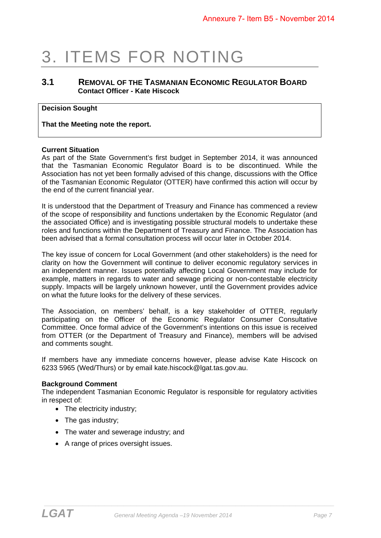# 3. ITEMS FOR NOTING

### **3.1 REMOVAL OF THE TASMANIAN ECONOMIC REGULATOR BOARD Contact Officer - Kate Hiscock**

#### **Decision Sought**

**That the Meeting note the report.** 

#### **Current Situation**

As part of the State Government's first budget in September 2014, it was announced that the Tasmanian Economic Regulator Board is to be discontinued. While the Association has not yet been formally advised of this change, discussions with the Office of the Tasmanian Economic Regulator (OTTER) have confirmed this action will occur by the end of the current financial year.

It is understood that the Department of Treasury and Finance has commenced a review of the scope of responsibility and functions undertaken by the Economic Regulator (and the associated Office) and is investigating possible structural models to undertake these roles and functions within the Department of Treasury and Finance. The Association has been advised that a formal consultation process will occur later in October 2014.

The key issue of concern for Local Government (and other stakeholders) is the need for clarity on how the Government will continue to deliver economic regulatory services in an independent manner. Issues potentially affecting Local Government may include for example, matters in regards to water and sewage pricing or non-contestable electricity supply. Impacts will be largely unknown however, until the Government provides advice on what the future looks for the delivery of these services.

The Association, on members' behalf, is a key stakeholder of OTTER, regularly participating on the Officer of the Economic Regulator Consumer Consultative Committee. Once formal advice of the Government's intentions on this issue is received from OTTER (or the Department of Treasury and Finance), members will be advised and comments sought.

If members have any immediate concerns however, please advise Kate Hiscock on 6233 5965 (Wed/Thurs) or by email kate.hiscock@lgat.tas.gov.au.

#### **Background Comment**

The independent Tasmanian Economic Regulator is responsible for regulatory activities in respect of:

- The electricity industry;
- The gas industry;
- The water and sewerage industry; and
- A range of prices oversight issues.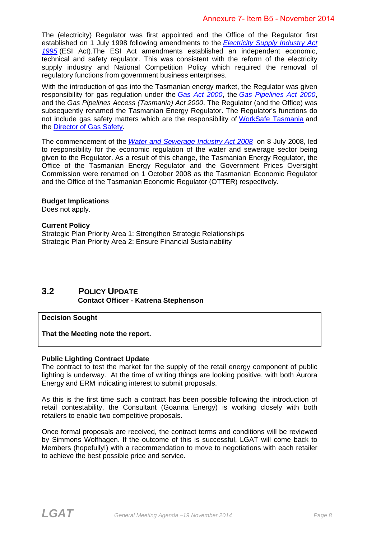The (electricity) Regulator was first appointed and the Office of the Regulator first established on 1 July 1998 following amendments to the *Electricity Supply Industry Act 1995* (ESI Act).The ESI Act amendments established an independent economic, technical and safety regulator. This was consistent with the reform of the electricity supply industry and National Competition Policy which required the removal of regulatory functions from government business enterprises.

With the introduction of gas into the Tasmanian energy market, the Regulator was given responsibility for gas regulation under the *Gas Act 2000*, the *Gas Pipelines Act 2000*, and the *Gas Pipelines Access (Tasmania) Act 2000*. The Regulator (and the Office) was subsequently renamed the Tasmanian Energy Regulator. The Regulator's functions do not include gas safety matters which are the responsibility of WorkSafe Tasmania and the Director of Gas Safety.

The commencement of the *Water and Sewerage Industry Act 2008* on 8 July 2008, led to responsibility for the economic regulation of the water and sewerage sector being given to the Regulator. As a result of this change, the Tasmanian Energy Regulator, the Office of the Tasmanian Energy Regulator and the Government Prices Oversight Commission were renamed on 1 October 2008 as the Tasmanian Economic Regulator and the Office of the Tasmanian Economic Regulator (OTTER) respectively.

#### **Budget Implications**

Does not apply.

#### **Current Policy**

Strategic Plan Priority Area 1: Strengthen Strategic Relationships Strategic Plan Priority Area 2: Ensure Financial Sustainability

### **3.2 POLICY UPDATE Contact Officer - Katrena Stephenson**

#### **Decision Sought**

**That the Meeting note the report.** 

#### **Public Lighting Contract Update**

The contract to test the market for the supply of the retail energy component of public lighting is underway. At the time of writing things are looking positive, with both Aurora Energy and ERM indicating interest to submit proposals.

As this is the first time such a contract has been possible following the introduction of retail contestability, the Consultant (Goanna Energy) is working closely with both retailers to enable two competitive proposals.

Once formal proposals are received, the contract terms and conditions will be reviewed by Simmons Wolfhagen. If the outcome of this is successful, LGAT will come back to Members (hopefully!) with a recommendation to move to negotiations with each retailer to achieve the best possible price and service.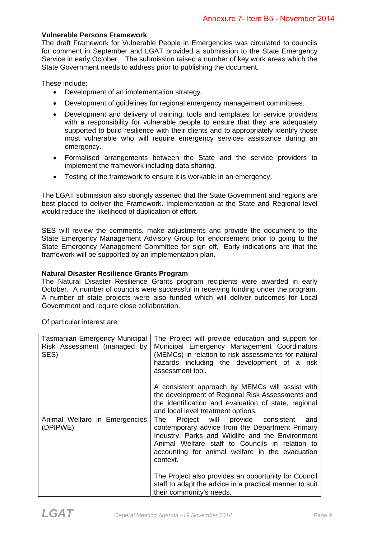#### **Vulnerable Persons Framework**

The draft Framework for Vulnerable People in Emergencies was circulated to councils for comment in September and LGAT provided a submission to the State Emergency Service in early October. The submission raised a number of key work areas which the State Government needs to address prior to publishing the document.

These include:

- Development of an implementation strategy.
- Development of guidelines for regional emergency management committees.
- Development and delivery of training, tools and templates for service providers with a responsibility for vulnerable people to ensure that they are adequately supported to build resilience with their clients and to appropriately identify those most vulnerable who will require emergency services assistance during an emergency.
- Formalised arrangements between the State and the service providers to implement the framework including data sharing.
- Testing of the framework to ensure it is workable in an emergency.

The LGAT submission also strongly asserted that the State Government and regions are best placed to deliver the Framework. Implementation at the State and Regional level would reduce the likelihood of duplication of effort.

SES will review the comments, make adjustments and provide the document to the State Emergency Management Advisory Group for endorsement prior to going to the State Emergency Management Committee for sign off. Early indications are that the framework will be supported by an implementation plan.

#### **Natural Disaster Resilience Grants Program**

The Natural Disaster Resilience Grants program recipients were awarded in early October. A number of councils were successful in receiving funding under the program. A number of state projects were also funded which will deliver outcomes for Local Government and require close collaboration.

Of particular interest are:

| Tasmanian Emergency Municipal<br>Risk Assessment (managed by<br>SES) | The Project will provide education and support for<br>Municipal Emergency Management Coordinators<br>(MEMCs) in relation to risk assessments for natural<br>hazards including the development of a risk<br>assessment tool.                                         |
|----------------------------------------------------------------------|---------------------------------------------------------------------------------------------------------------------------------------------------------------------------------------------------------------------------------------------------------------------|
|                                                                      | A consistent approach by MEMCs will assist with<br>the development of Regional Risk Assessments and<br>the identification and evaluation of state, regional<br>and local level treatment options.                                                                   |
| Animal Welfare in Emergencies<br>(DPIPWE)                            | The Project will provide consistent<br>and<br>contemporary advice from the Department Primary<br>Industry, Parks and Wildlife and the Environment<br>Animal Welfare staff to Councils in relation to<br>accounting for animal welfare in the evacuation<br>context. |
|                                                                      | The Project also provides an opportunity for Council<br>staff to adapt the advice in a practical manner to suit<br>their community's needs.                                                                                                                         |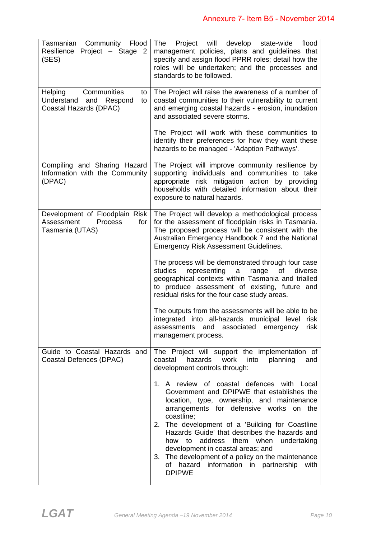| Tasmanian Community Flood<br>Resilience Project - Stage 2<br>(SES)                                  | Project will develop<br>The<br>state-wide<br>flood<br>management policies, plans and guidelines that<br>specify and assign flood PPRR roles; detail how the<br>roles will be undertaken; and the processes and<br>standards to be followed.                                                                                                                                                                                                                                                                  |
|-----------------------------------------------------------------------------------------------------|--------------------------------------------------------------------------------------------------------------------------------------------------------------------------------------------------------------------------------------------------------------------------------------------------------------------------------------------------------------------------------------------------------------------------------------------------------------------------------------------------------------|
| Communities<br><b>Helping</b><br>to<br>Understand<br>Respond<br>and<br>to<br>Coastal Hazards (DPAC) | The Project will raise the awareness of a number of<br>coastal communities to their vulnerability to current<br>and emerging coastal hazards - erosion, inundation<br>and associated severe storms.                                                                                                                                                                                                                                                                                                          |
|                                                                                                     | The Project will work with these communities to<br>identify their preferences for how they want these<br>hazards to be managed - 'Adaption Pathways'.                                                                                                                                                                                                                                                                                                                                                        |
| Compiling and Sharing Hazard<br>Information with the Community<br>(DPAC)                            | The Project will improve community resilience by<br>supporting individuals and communities to take<br>appropriate risk mitigation action by providing<br>households with detailed information about their<br>exposure to natural hazards.                                                                                                                                                                                                                                                                    |
| Development of Floodplain Risk<br>Assessment<br>Process<br>for<br>Tasmania (UTAS)                   | The Project will develop a methodological process<br>for the assessment of floodplain risks in Tasmania.<br>The proposed process will be consistent with the<br>Australian Emergency Handbook 7 and the National<br><b>Emergency Risk Assessment Guidelines.</b>                                                                                                                                                                                                                                             |
|                                                                                                     | The process will be demonstrated through four case<br>studies<br>representing<br>of<br>a<br>range<br>diverse<br>geographical contexts within Tasmania and trialled<br>to produce assessment of existing, future and<br>residual risks for the four case study areas.                                                                                                                                                                                                                                         |
|                                                                                                     | The outputs from the assessments will be able to be<br>integrated into all-hazards municipal level risk<br>assessments and associated emergency<br>risk<br>management process.                                                                                                                                                                                                                                                                                                                               |
| Guide to Coastal Hazards and<br>Coastal Defences (DPAC)                                             | The Project will support the implementation of<br>hazards<br>work into<br>coastal<br>planning<br>and<br>development controls through:                                                                                                                                                                                                                                                                                                                                                                        |
|                                                                                                     | 1. A review of coastal defences with Local<br>Government and DPIPWE that establishes the<br>location, type, ownership, and maintenance<br>arrangements for defensive works on the<br>coastline;<br>2. The development of a 'Building for Coastline<br>Hazards Guide' that describes the hazards and<br>address<br>them when<br>undertaking<br>how to<br>development in coastal areas; and<br>3. The development of a policy on the maintenance<br>of hazard information in partnership with<br><b>DPIPWE</b> |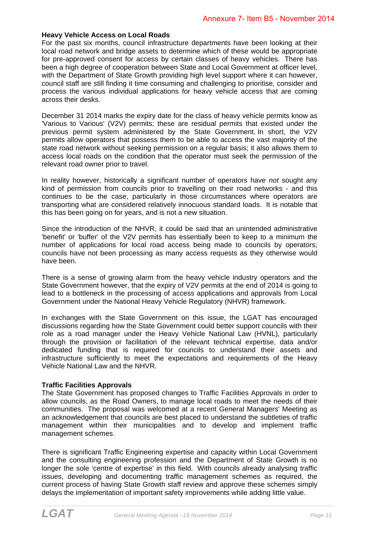#### **Heavy Vehicle Access on Local Roads**

For the past six months, council infrastructure departments have been looking at their local road network and bridge assets to determine which of these would be appropriate for pre-approved consent for access by certain classes of heavy vehicles. There has been a high degree of cooperation between State and Local Government at officer level, with the Department of State Growth providing high level support where it can however, council staff are still finding it time consuming and challenging to prioritise, consider and process the various individual applications for heavy vehicle access that are coming across their desks.

December 31 2014 marks the expiry date for the class of heavy vehicle permits know as 'Various to Various' (V2V) permits; these are residual permits that existed under the previous permit system administered by the State Government. In short, the V2V permits allow operators that possess them to be able to access the vast majority of the state road network without seeking permission on a regular basis; it also allows them to access local roads on the condition that the operator must seek the permission of the relevant road owner prior to travel.

In reality however, historically a significant number of operators have *not* sought any kind of permission from councils prior to travelling on their road networks - and this continues to be the case, particularly in those circumstances where operators are transporting what are considered relatively innocuous standard loads. It is notable that this has been going on for years, and is not a new situation.

Since the introduction of the NHVR, it could be said that an unintended administrative 'benefit' or 'buffer' of the V2V permits has essentially been to keep to a minimum the number of applications for local road access being made to councils by operators; councils have not been processing as many access requests as they otherwise would have been.

There is a sense of growing alarm from the heavy vehicle industry operators and the State Government however, that the expiry of V2V permits at the end of 2014 is going to lead to a bottleneck in the processing of access applications and approvals from Local Government under the National Heavy Vehicle Regulatory (NHVR) framework.

In exchanges with the State Government on this issue, the LGAT has encouraged discussions regarding how the State Government could better support councils with their role as a road manager under the Heavy Vehicle National Law (HVNL), particularly through the provision or facilitation of the relevant technical expertise, data and/or dedicated funding that is required for councils to understand their assets and infrastructure sufficiently to meet the expectations and requirements of the Heavy Vehicle National Law and the NHVR.

#### **Traffic Facilities Approvals**

The State Government has proposed changes to Traffic Facilities Approvals in order to allow councils, as the Road Owners, to manage local roads to meet the needs of their communities. The proposal was welcomed at a recent General Managers' Meeting as an acknowledgement that councils are best placed to understand the subtleties of traffic management within their municipalities and to develop and implement traffic management schemes.

There is significant Traffic Engineering expertise and capacity within Local Government and the consulting engineering profession and the Department of State Growth is no longer the sole 'centre of expertise' in this field. With councils already analysing traffic issues, developing and documenting traffic management schemes as required, the current process of having State Growth staff review and approve these schemes simply delays the implementation of important safety improvements while adding little value.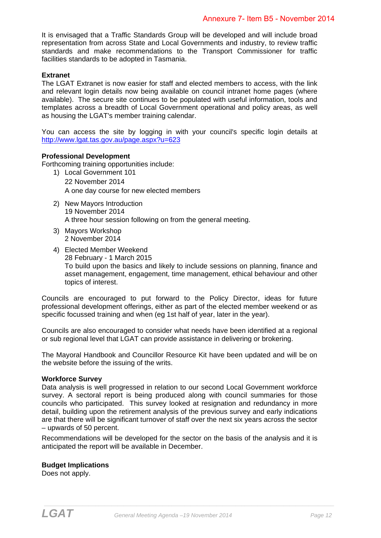It is envisaged that a Traffic Standards Group will be developed and will include broad representation from across State and Local Governments and industry, to review traffic standards and make recommendations to the Transport Commissioner for traffic facilities standards to be adopted in Tasmania.

#### **Extranet**

The LGAT Extranet is now easier for staff and elected members to access, with the link and relevant login details now being available on council intranet home pages (where available). The secure site continues to be populated with useful information, tools and templates across a breadth of Local Government operational and policy areas, as well as housing the LGAT's member training calendar.

You can access the site by logging in with your council's specific login details at http://www.lgat.tas.gov.au/page.aspx?u=623

#### **Professional Development**

Forthcoming training opportunities include:

- 1) Local Government 101 22 November 2014 A one day course for new elected members
- 2) New Mayors Introduction 19 November 2014 A three hour session following on from the general meeting.
- 3) Mayors Workshop 2 November 2014
- 4) Elected Member Weekend 28 February - 1 March 2015 To build upon the basics and likely to include sessions on planning, finance and asset management, engagement, time management, ethical behaviour and other topics of interest.

Councils are encouraged to put forward to the Policy Director, ideas for future professional development offerings, either as part of the elected member weekend or as specific focussed training and when (eg 1st half of year, later in the year).

Councils are also encouraged to consider what needs have been identified at a regional or sub regional level that LGAT can provide assistance in delivering or brokering.

The Mayoral Handbook and Councillor Resource Kit have been updated and will be on the website before the issuing of the writs.

#### **Workforce Survey**

Data analysis is well progressed in relation to our second Local Government workforce survey. A sectoral report is being produced along with council summaries for those councils who participated. This survey looked at resignation and redundancy in more detail, building upon the retirement analysis of the previous survey and early indications are that there will be significant turnover of staff over the next six years across the sector – upwards of 50 percent.

Recommendations will be developed for the sector on the basis of the analysis and it is anticipated the report will be available in December.

#### **Budget Implications**

Does not apply.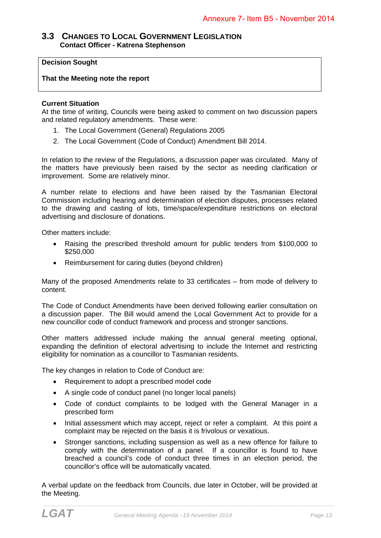#### **3.3 CHANGES TO LOCAL GOVERNMENT LEGISLATION Contact Officer - Katrena Stephenson**

#### **Decision Sought**

#### **That the Meeting note the report**

#### **Current Situation**

At the time of writing, Councils were being asked to comment on two discussion papers and related regulatory amendments. These were:

- 1. The Local Government (General) Regulations 2005
- 2. The Local Government (Code of Conduct) Amendment Bill 2014.

In relation to the review of the Regulations, a discussion paper was circulated. Many of the matters have previously been raised by the sector as needing clarification or improvement. Some are relatively minor.

A number relate to elections and have been raised by the Tasmanian Electoral Commission including hearing and determination of election disputes, processes related to the drawing and casting of lots, time/space/expenditure restrictions on electoral advertising and disclosure of donations.

Other matters include:

- Raising the prescribed threshold amount for public tenders from \$100,000 to \$250,000
- Reimbursement for caring duties (beyond children)

Many of the proposed Amendments relate to 33 certificates – from mode of delivery to content.

The Code of Conduct Amendments have been derived following earlier consultation on a discussion paper. The Bill would amend the Local Government Act to provide for a new councillor code of conduct framework and process and stronger sanctions.

Other matters addressed include making the annual general meeting optional, expanding the definition of electoral advertising to include the Internet and restricting eligibility for nomination as a councillor to Tasmanian residents.

The key changes in relation to Code of Conduct are:

- Requirement to adopt a prescribed model code
- A single code of conduct panel (no longer local panels)
- Code of conduct complaints to be lodged with the General Manager in a prescribed form
- Initial assessment which may accept, reject or refer a complaint. At this point a complaint may be rejected on the basis it is frivolous or vexatious.
- Stronger sanctions, including suspension as well as a new offence for failure to comply with the determination of a panel. If a councillor is found to have breached a council's code of conduct three times in an election period, the councillor's office will be automatically vacated.

A verbal update on the feedback from Councils, due later in October, will be provided at the Meeting.

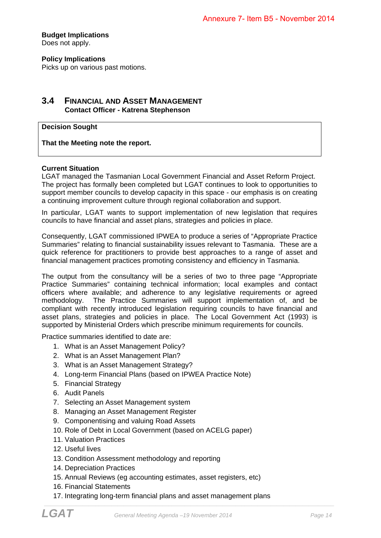**Budget Implications**  Does not apply.

**Policy Implications** 

Picks up on various past motions.

### **3.4 FINANCIAL AND ASSET MANAGEMENT Contact Officer - Katrena Stephenson**

#### **Decision Sought**

**That the Meeting note the report.** 

#### **Current Situation**

LGAT managed the Tasmanian Local Government Financial and Asset Reform Project. The project has formally been completed but LGAT continues to look to opportunities to support member councils to develop capacity in this space - our emphasis is on creating a continuing improvement culture through regional collaboration and support.

In particular, LGAT wants to support implementation of new legislation that requires councils to have financial and asset plans, strategies and policies in place.

Consequently, LGAT commissioned IPWEA to produce a series of "Appropriate Practice Summaries" relating to financial sustainability issues relevant to Tasmania. These are a quick reference for practitioners to provide best approaches to a range of asset and financial management practices promoting consistency and efficiency in Tasmania.

The output from the consultancy will be a series of two to three page "Appropriate Practice Summaries" containing technical information; local examples and contact officers where available; and adherence to any legislative requirements or agreed methodology. The Practice Summaries will support implementation of, and be compliant with recently introduced legislation requiring councils to have financial and asset plans, strategies and policies in place. The Local Government Act (1993) is supported by Ministerial Orders which prescribe minimum requirements for councils.

Practice summaries identified to date are:

- 1. What is an Asset Management Policy?
- 2. What is an Asset Management Plan?
- 3. What is an Asset Management Strategy?
- 4. Long-term Financial Plans (based on IPWEA Practice Note)
- 5. Financial Strategy
- 6. Audit Panels
- 7. Selecting an Asset Management system
- 8. Managing an Asset Management Register
- 9. Componentising and valuing Road Assets
- 10. Role of Debt in Local Government (based on ACELG paper)
- 11. Valuation Practices
- 12. Useful lives
- 13. Condition Assessment methodology and reporting
- 14. Depreciation Practices
- 15. Annual Reviews (eg accounting estimates, asset registers, etc)
- 16. Financial Statements
- 17. Integrating long-term financial plans and asset management plans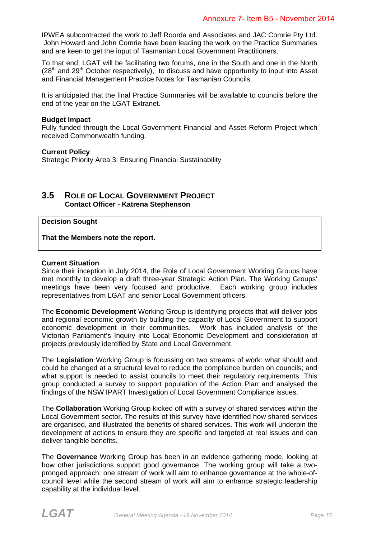IPWEA subcontracted the work to Jeff Roorda and Associates and JAC Comrie Pty Ltd. John Howard and John Comrie have been leading the work on the Practice Summaries and are keen to get the input of Tasmanian Local Government Practitioners.

To that end, LGAT will be facilitating two forums, one in the South and one in the North  $(28<sup>th</sup>$  and  $29<sup>th</sup>$  October respectively), to discuss and have opportunity to input into Asset and Financial Management Practice Notes for Tasmanian Councils.

It is anticipated that the final Practice Summaries will be available to councils before the end of the year on the LGAT Extranet.

#### **Budget Impact**

Fully funded through the Local Government Financial and Asset Reform Project which received Commonwealth funding.

#### **Current Policy**

Strategic Priority Area 3: Ensuring Financial Sustainability

# **3.5 ROLE OF LOCAL GOVERNMENT PROJECT Contact Officer - Katrena Stephenson**

**Decision Sought** 

**That the Members note the report.** 

#### **Current Situation**

Since their inception in July 2014, the Role of Local Government Working Groups have met monthly to develop a draft three-year Strategic Action Plan. The Working Groups' meetings have been very focused and productive. Each working group includes representatives from LGAT and senior Local Government officers.

The **Economic Development** Working Group is identifying projects that will deliver jobs and regional economic growth by building the capacity of Local Government to support economic development in their communities. Work has included analysis of the Victorian Parliament's Inquiry into Local Economic Development and consideration of projects previously identified by State and Local Government.

The **Legislation** Working Group is focussing on two streams of work: what should and could be changed at a structural level to reduce the compliance burden on councils; and what support is needed to assist councils to meet their regulatory requirements. This group conducted a survey to support population of the Action Plan and analysed the findings of the NSW IPART Investigation of Local Government Compliance issues.

The **Collaboration** Working Group kicked off with a survey of shared services within the Local Government sector. The results of this survey have identified how shared services are organised, and illustrated the benefits of shared services. This work will underpin the development of actions to ensure they are specific and targeted at real issues and can deliver tangible benefits.

The **Governance** Working Group has been in an evidence gathering mode, looking at how other jurisdictions support good governance. The working group will take a twopronged approach: one stream of work will aim to enhance governance at the whole-ofcouncil level while the second stream of work will aim to enhance strategic leadership capability at the individual level.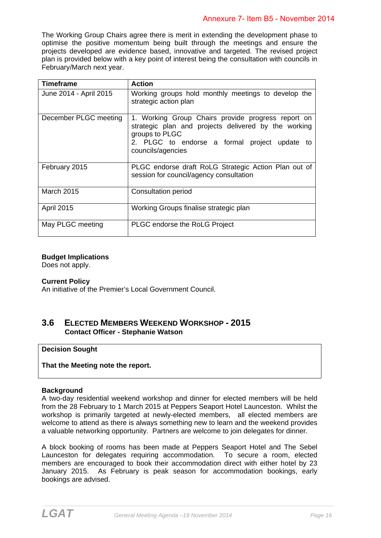The Working Group Chairs agree there is merit in extending the development phase to optimise the positive momentum being built through the meetings and ensure the projects developed are evidence based, innovative and targeted. The revised project plan is provided below with a key point of interest being the consultation with councils in February/March next year.

| <b>Timeframe</b>       | <b>Action</b>                                                                                                                                                                                      |
|------------------------|----------------------------------------------------------------------------------------------------------------------------------------------------------------------------------------------------|
| June 2014 - April 2015 | Working groups hold monthly meetings to develop the<br>strategic action plan                                                                                                                       |
| December PLGC meeting  | 1. Working Group Chairs provide progress report on<br>strategic plan and projects delivered by the working<br>groups to PLGC<br>2. PLGC to endorse a formal project update to<br>councils/agencies |
| February 2015          | PLGC endorse draft RoLG Strategic Action Plan out of<br>session for council/agency consultation                                                                                                    |
| <b>March 2015</b>      | Consultation period                                                                                                                                                                                |
| <b>April 2015</b>      | Working Groups finalise strategic plan                                                                                                                                                             |
| May PLGC meeting       | <b>PLGC</b> endorse the RoLG Project                                                                                                                                                               |

#### **Budget Implications**

Does not apply.

#### **Current Policy**

An initiative of the Premier's Local Government Council.

## **3.6 ELECTED MEMBERS WEEKEND WORKSHOP - 2015 Contact Officer - Stephanie Watson**

#### **Decision Sought**

**That the Meeting note the report.** 

#### **Background**

A two-day residential weekend workshop and dinner for elected members will be held from the 28 February to 1 March 2015 at Peppers Seaport Hotel Launceston. Whilst the workshop is primarily targeted at newly-elected members, all elected members are welcome to attend as there is always something new to learn and the weekend provides a valuable networking opportunity. Partners are welcome to join delegates for dinner.

A block booking of rooms has been made at Peppers Seaport Hotel and The Sebel Launceston for delegates requiring accommodation. To secure a room, elected members are encouraged to book their accommodation direct with either hotel by 23 January 2015. As February is peak season for accommodation bookings, early bookings are advised.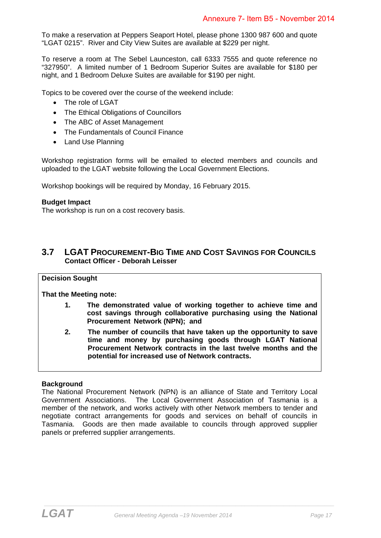To make a reservation at Peppers Seaport Hotel, please phone 1300 987 600 and quote "LGAT 0215". River and City View Suites are available at \$229 per night.

To reserve a room at The Sebel Launceston, call 6333 7555 and quote reference no "327950". A limited number of 1 Bedroom Superior Suites are available for \$180 per night, and 1 Bedroom Deluxe Suites are available for \$190 per night.

Topics to be covered over the course of the weekend include:

- The role of LGAT
- The Ethical Obligations of Councillors
- The ABC of Asset Management
- The Fundamentals of Council Finance
- Land Use Planning

Workshop registration forms will be emailed to elected members and councils and uploaded to the LGAT website following the Local Government Elections.

Workshop bookings will be required by Monday, 16 February 2015.

#### **Budget Impact**

The workshop is run on a cost recovery basis.

# **3.7 LGAT PROCUREMENT-BIG TIME AND COST SAVINGS FOR COUNCILS Contact Officer - Deborah Leisser**

#### **Decision Sought**

**That the Meeting note:** 

- **1. The demonstrated value of working together to achieve time and cost savings through collaborative purchasing using the National Procurement Network (NPN); and**
- **2. The number of councils that have taken up the opportunity to save time and money by purchasing goods through LGAT National Procurement Network contracts in the last twelve months and the potential for increased use of Network contracts.**

#### **Background**

The National Procurement Network (NPN) is an alliance of State and Territory Local Government Associations. The Local Government Association of Tasmania is a member of the network, and works actively with other Network members to tender and negotiate contract arrangements for goods and services on behalf of councils in Tasmania. Goods are then made available to councils through approved supplier panels or preferred supplier arrangements.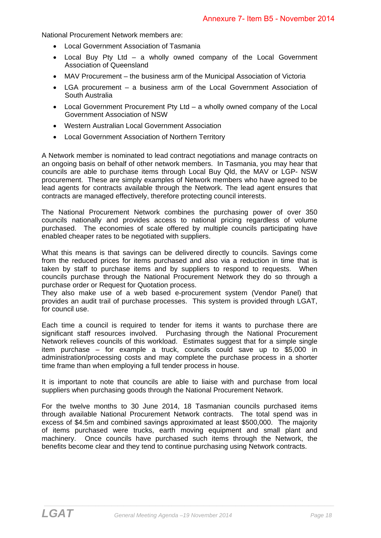National Procurement Network members are:

- Local Government Association of Tasmania
- Local Buy Pty Ltd a wholly owned company of the Local Government Association of Queensland
- MAV Procurement the business arm of the Municipal Association of Victoria
- LGA procurement a business arm of the Local Government Association of South Australia
- Local Government Procurement Pty Ltd a wholly owned company of the Local Government Association of NSW
- Western Australian Local Government Association
- Local Government Association of Northern Territory

A Network member is nominated to lead contract negotiations and manage contracts on an ongoing basis on behalf of other network members. In Tasmania, you may hear that councils are able to purchase items through Local Buy Qld, the MAV or LGP- NSW procurement. These are simply examples of Network members who have agreed to be lead agents for contracts available through the Network. The lead agent ensures that contracts are managed effectively, therefore protecting council interests.

The National Procurement Network combines the purchasing power of over 350 councils nationally and provides access to national pricing regardless of volume purchased. The economies of scale offered by multiple councils participating have enabled cheaper rates to be negotiated with suppliers.

What this means is that savings can be delivered directly to councils. Savings come from the reduced prices for items purchased and also via a reduction in time that is taken by staff to purchase items and by suppliers to respond to requests. When councils purchase through the National Procurement Network they do so through a purchase order or Request for Quotation process.

They also make use of a web based e-procurement system (Vendor Panel) that provides an audit trail of purchase processes. This system is provided through LGAT, for council use.

Each time a council is required to tender for items it wants to purchase there are significant staff resources involved. Purchasing through the National Procurement Network relieves councils of this workload. Estimates suggest that for a simple single item purchase – for example a truck, councils could save up to \$5,000 in administration/processing costs and may complete the purchase process in a shorter time frame than when employing a full tender process in house.

It is important to note that councils are able to liaise with and purchase from local suppliers when purchasing goods through the National Procurement Network.

For the twelve months to 30 June 2014, 18 Tasmanian councils purchased items through available National Procurement Network contracts. The total spend was in excess of \$4.5m and combined savings approximated at least \$500,000. The majority of items purchased were trucks, earth moving equipment and small plant and machinery. Once councils have purchased such items through the Network, the benefits become clear and they tend to continue purchasing using Network contracts.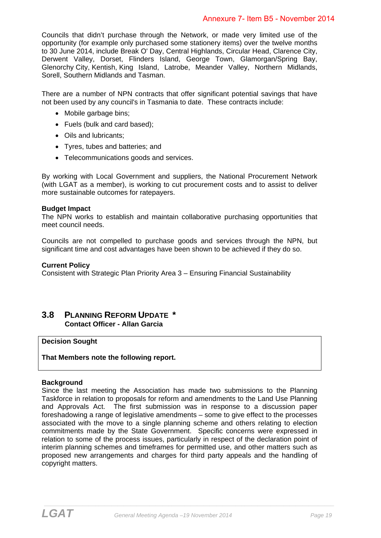Councils that didn't purchase through the Network, or made very limited use of the opportunity (for example only purchased some stationery items) over the twelve months to 30 June 2014, include Break O' Day, Central Highlands, Circular Head, Clarence City, Derwent Valley, Dorset, Flinders Island, George Town, Glamorgan/Spring Bay, Glenorchy City, Kentish, King Island, Latrobe, Meander Valley, Northern Midlands, Sorell, Southern Midlands and Tasman.

There are a number of NPN contracts that offer significant potential savings that have not been used by any council's in Tasmania to date. These contracts include:

- Mobile garbage bins;
- Fuels (bulk and card based);
- Oils and lubricants;
- Tyres, tubes and batteries; and
- Telecommunications goods and services.

By working with Local Government and suppliers, the National Procurement Network (with LGAT as a member), is working to cut procurement costs and to assist to deliver more sustainable outcomes for ratepayers.

#### **Budget Impact**

The NPN works to establish and maintain collaborative purchasing opportunities that meet council needs.

Councils are not compelled to purchase goods and services through the NPN, but significant time and cost advantages have been shown to be achieved if they do so.

#### **Current Policy**

Consistent with Strategic Plan Priority Area 3 – Ensuring Financial Sustainability

## **3.8 PLANNING REFORM UPDATE \* Contact Officer - Allan Garcia**

**Decision Sought** 

**That Members note the following report.** 

#### **Background**

Since the last meeting the Association has made two submissions to the Planning Taskforce in relation to proposals for reform and amendments to the Land Use Planning and Approvals Act. The first submission was in response to a discussion paper foreshadowing a range of legislative amendments – some to give effect to the processes associated with the move to a single planning scheme and others relating to election commitments made by the State Government. Specific concerns were expressed in relation to some of the process issues, particularly in respect of the declaration point of interim planning schemes and timeframes for permitted use, and other matters such as proposed new arrangements and charges for third party appeals and the handling of copyright matters.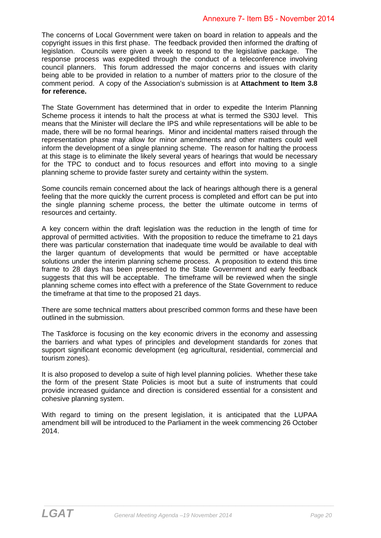The concerns of Local Government were taken on board in relation to appeals and the copyright issues in this first phase. The feedback provided then informed the drafting of legislation. Councils were given a week to respond to the legislative package. The response process was expedited through the conduct of a teleconference involving council planners. This forum addressed the major concerns and issues with clarity being able to be provided in relation to a number of matters prior to the closure of the comment period. A copy of the Association's submission is at **Attachment to Item 3.8 for reference.** 

The State Government has determined that in order to expedite the Interim Planning Scheme process it intends to halt the process at what is termed the S30J level. This means that the Minister will declare the IPS and while representations will be able to be made, there will be no formal hearings. Minor and incidental matters raised through the representation phase may allow for minor amendments and other matters could well inform the development of a single planning scheme. The reason for halting the process at this stage is to eliminate the likely several years of hearings that would be necessary for the TPC to conduct and to focus resources and effort into moving to a single planning scheme to provide faster surety and certainty within the system.

Some councils remain concerned about the lack of hearings although there is a general feeling that the more quickly the current process is completed and effort can be put into the single planning scheme process, the better the ultimate outcome in terms of resources and certainty.

A key concern within the draft legislation was the reduction in the length of time for approval of permitted activities. With the proposition to reduce the timeframe to 21 days there was particular consternation that inadequate time would be available to deal with the larger quantum of developments that would be permitted or have acceptable solutions under the interim planning scheme process. A proposition to extend this time frame to 28 days has been presented to the State Government and early feedback suggests that this will be acceptable. The timeframe will be reviewed when the single planning scheme comes into effect with a preference of the State Government to reduce the timeframe at that time to the proposed 21 days.

There are some technical matters about prescribed common forms and these have been outlined in the submission.

The Taskforce is focusing on the key economic drivers in the economy and assessing the barriers and what types of principles and development standards for zones that support significant economic development (eg agricultural, residential, commercial and tourism zones).

It is also proposed to develop a suite of high level planning policies. Whether these take the form of the present State Policies is moot but a suite of instruments that could provide increased guidance and direction is considered essential for a consistent and cohesive planning system.

With regard to timing on the present legislation, it is anticipated that the LUPAA amendment bill will be introduced to the Parliament in the week commencing 26 October 2014.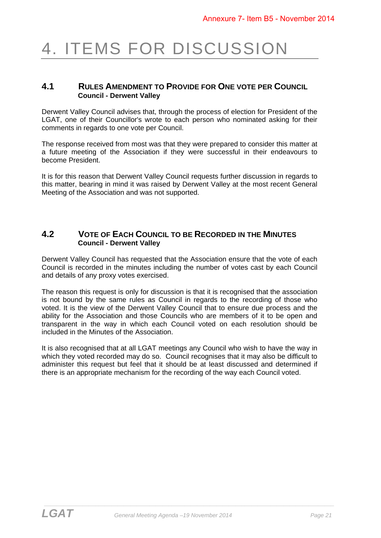# 4. ITEMS FOR DISCUSSION

### **4.1 RULES AMENDMENT TO PROVIDE FOR ONE VOTE PER COUNCIL Council - Derwent Valley**

Derwent Valley Council advises that, through the process of election for President of the LGAT, one of their Councillor's wrote to each person who nominated asking for their comments in regards to one vote per Council.

The response received from most was that they were prepared to consider this matter at a future meeting of the Association if they were successful in their endeavours to become President.

It is for this reason that Derwent Valley Council requests further discussion in regards to this matter, bearing in mind it was raised by Derwent Valley at the most recent General Meeting of the Association and was not supported.

## **4.2 VOTE OF EACH COUNCIL TO BE RECORDED IN THE MINUTES Council - Derwent Valley**

Derwent Valley Council has requested that the Association ensure that the vote of each Council is recorded in the minutes including the number of votes cast by each Council and details of any proxy votes exercised.

The reason this request is only for discussion is that it is recognised that the association is not bound by the same rules as Council in regards to the recording of those who voted. It is the view of the Derwent Valley Council that to ensure due process and the ability for the Association and those Councils who are members of it to be open and transparent in the way in which each Council voted on each resolution should be included in the Minutes of the Association.

It is also recognised that at all LGAT meetings any Council who wish to have the way in which they voted recorded may do so. Council recognises that it may also be difficult to administer this request but feel that it should be at least discussed and determined if there is an appropriate mechanism for the recording of the way each Council voted.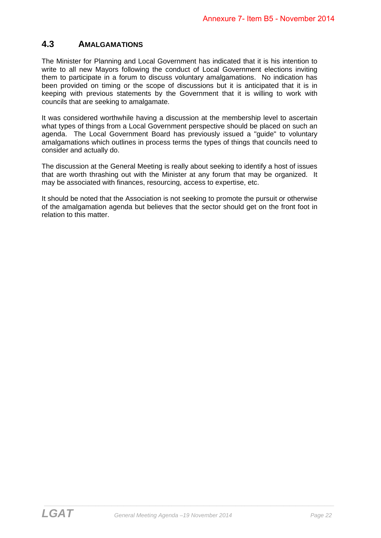# **4.3 AMALGAMATIONS**

The Minister for Planning and Local Government has indicated that it is his intention to write to all new Mayors following the conduct of Local Government elections inviting them to participate in a forum to discuss voluntary amalgamations. No indication has been provided on timing or the scope of discussions but it is anticipated that it is in keeping with previous statements by the Government that it is willing to work with councils that are seeking to amalgamate.

It was considered worthwhile having a discussion at the membership level to ascertain what types of things from a Local Government perspective should be placed on such an agenda. The Local Government Board has previously issued a "guide" to voluntary amalgamations which outlines in process terms the types of things that councils need to consider and actually do.

The discussion at the General Meeting is really about seeking to identify a host of issues that are worth thrashing out with the Minister at any forum that may be organized. It may be associated with finances, resourcing, access to expertise, etc.

It should be noted that the Association is not seeking to promote the pursuit or otherwise of the amalgamation agenda but believes that the sector should get on the front foot in relation to this matter.